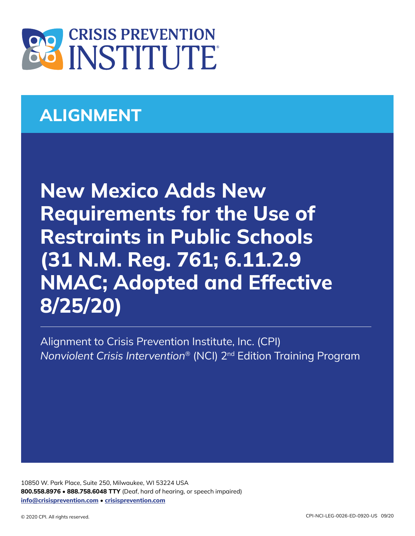

# **ALIGNMENT**

**New Mexico Adds New Requirements for the Use of Restraints in Public Schools (31 N.M. Reg. 761; 6.11.2.9 NMAC; Adopted and Effective 8/25/20)**

Alignment to Crisis Prevention Institute, Inc. (CPI) *Nonviolent Crisis Intervention*® (NCI) 2nd Edition Training Program

10850 W. Park Place, Suite 250, Milwaukee, WI 53224 USA **800.558.8976** • **888.758.6048 TTY** (Deaf, hard of hearing, or speech impaired) **[info@crisisprevention.com](mailto:info%40crisisprevention.com?subject=)** • **[crisisprevention.com](https://www.crisisprevention.com/)**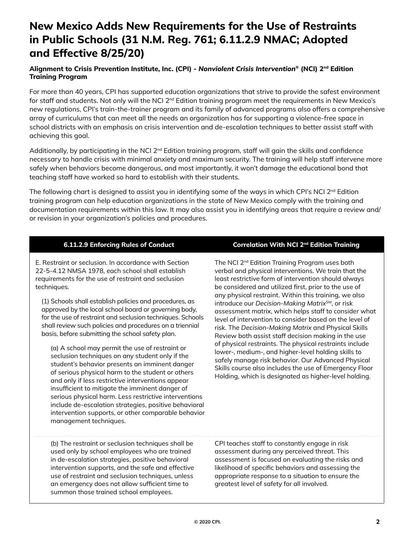## **New Mexico Adds New Requirements for the Use of Restraints in Public Schools (31 N.M. Reg. 761; 6.11.2.9 NMAC; Adopted and Effective 8/25/20)**

#### **Alignment to Crisis Prevention Institute, Inc. (CPI) -** *Nonviolent Crisis Intervention***® (NCI) 2nd Edition Training Program**

For more than 40 years, CPI has supported education organizations that strive to provide the safest environment for staff and students. Not only will the NCI 2<sup>nd</sup> Edition training program meet the requirements in New Mexico's new regulations, CPI's train-the-trainer program and its family of advanced programs also offers a comprehensive array of curriculums that can meet all the needs an organization has for supporting a violence-free space in school districts with an emphasis on crisis intervention and de-escalation techniques to better assist staff with achieving this goal.

Additionally, by participating in the NCI 2<sup>nd</sup> Edition training program, staff will gain the skills and confidence necessary to handle crisis with minimal anxiety and maximum security. The training will help staff intervene more safely when behaviors become dangerous, and most importantly, it won't damage the educational bond that teaching staff have worked so hard to establish with their students.

The following chart is designed to assist you in identifying some of the ways in which CPI's NCI 2<sup>nd</sup> Edition training program can help education organizations in the state of New Mexico comply with the training and documentation requirements within this law. It may also assist you in identifying areas that require a review and/ or revision in your organization's policies and procedures.

E. Restraint or seclusion. In accordance with Section 22-5-4.12 NMSA 1978, each school shall establish requirements for the use of restraint and seclusion techniques.

(1) Schools shall establish policies and procedures, as approved by the local school board or governing body, for the use of restraint and seclusion techniques. Schools shall review such policies and procedures on a triennial basis, before submitting the school safety plan.

(a) A school may permit the use of restraint or seclusion techniques on any student only if the student's behavior presents an imminent danger of serious physical harm to the student or others and only if less restrictive interventions appear insufficient to mitigate the imminent danger of serious physical harm. Less restrictive interventions include de-escalation strategies, positive behavioral intervention supports, or other comparable behavior management techniques.

### **6.11.2.9 Enforcing Rules of Conduct Correlation With NCI 2nd Edition Training**

The NCI 2<sup>nd</sup> Edition Training Program uses both verbal and physical interventions. We train that the least restrictive form of intervention should always be considered and utilized first, prior to the use of any physical restraint. Within this training, we also introduce our *Decision-Making Matrix*SM, or risk assessment matrix, which helps staff to consider what level of intervention to consider based on the level of risk. The *Decision-Making Matrix* and Physical Skills Review both assist staff decision making in the use of physical restraints. The physical restraints include lower-, medium-, and higher-level holding skills to safely manage risk behavior. Our Advanced Physical Skills course also includes the use of Emergency Floor Holding, which is designated as higher-level holding.

(b) The restraint or seclusion techniques shall be used only by school employees who are trained in de-escalation strategies, positive behavioral intervention supports, and the safe and effective use of restraint and seclusion techniques, unless an emergency does not allow sufficient time to summon those trained school employees.

CPI teaches staff to constantly engage in risk assessment during any perceived threat. This assessment is focused on evaluating the risks and likelihood of specific behaviors and assessing the appropriate response to a situation to ensure the greatest level of safety for all involved.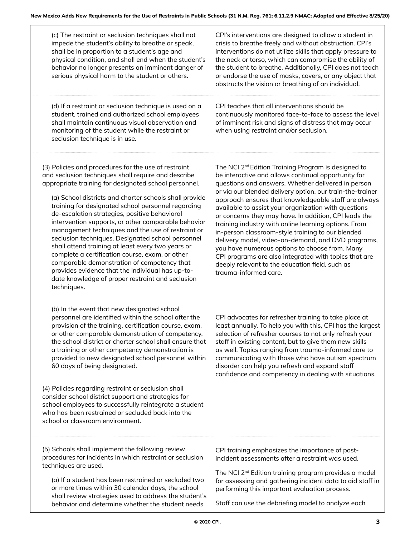(c) The restraint or seclusion techniques shall not impede the student's ability to breathe or speak, shall be in proportion to a student's age and physical condition, and shall end when the student's behavior no longer presents an imminent danger of serious physical harm to the student or others.

CPI's interventions are designed to allow a student in crisis to breathe freely and without obstruction. CPI's interventions do not utilize skills that apply pressure to the neck or torso, which can compromise the ability of the student to breathe. Additionally, CPI does not teach or endorse the use of masks, covers, or any object that obstructs the vision or breathing of an individual.

(d) If a restraint or seclusion technique is used on a student, trained and authorized school employees shall maintain continuous visual observation and monitoring of the student while the restraint or seclusion technique is in use.

CPI teaches that all interventions should be continuously monitored face-to-face to assess the level of imminent risk and signs of distress that may occur when using restraint and/or seclusion.

(3) Policies and procedures for the use of restraint and seclusion techniques shall require and describe appropriate training for designated school personnel.

(a) School districts and charter schools shall provide training for designated school personnel regarding de-escalation strategies, positive behavioral intervention supports, or other comparable behavior management techniques and the use of restraint or seclusion techniques. Designated school personnel shall attend training at least every two years or complete a certification course, exam, or other comparable demonstration of competency that provides evidence that the individual has up-todate knowledge of proper restraint and seclusion techniques.

(b) In the event that new designated school personnel are identified within the school after the provision of the training, certification course, exam, or other comparable demonstration of competency, the school district or charter school shall ensure that a training or other competency demonstration is provided to new designated school personnel within 60 days of being designated.

(4) Policies regarding restraint or seclusion shall consider school district support and strategies for school employees to successfully reintegrate a student who has been restrained or secluded back into the school or classroom environment.

The NCI 2<sup>nd</sup> Edition Training Program is designed to be interactive and allows continual opportunity for questions and answers. Whether delivered in person or via our blended delivery option, our train-the-trainer approach ensures that knowledgeable staff are always available to assist your organization with questions or concerns they may have. In addition, CPI leads the training industry with online learning options. From in-person classroom-style training to our blended delivery model, video-on-demand, and DVD programs, you have numerous options to choose from. Many CPI programs are also integrated with topics that are deeply relevant to the education field, such as trauma-informed care.

CPI advocates for refresher training to take place at least annually. To help you with this, CPI has the largest selection of refresher courses to not only refresh your staff in existing content, but to give them new skills as well. Topics ranging from trauma-informed care to communicating with those who have autism spectrum disorder can help you refresh and expand staff confidence and competency in dealing with situations.

(5) Schools shall implement the following review procedures for incidents in which restraint or seclusion techniques are used.

(a) If a student has been restrained or secluded two or more times within 30 calendar days, the school shall review strategies used to address the student's behavior and determine whether the student needs

CPI training emphasizes the importance of postincident assessments after a restraint was used.

The NCI 2<sup>nd</sup> Edition training program provides a model for assessing and gathering incident data to aid staff in performing this important evaluation process.

Staff can use the debriefing model to analyze each